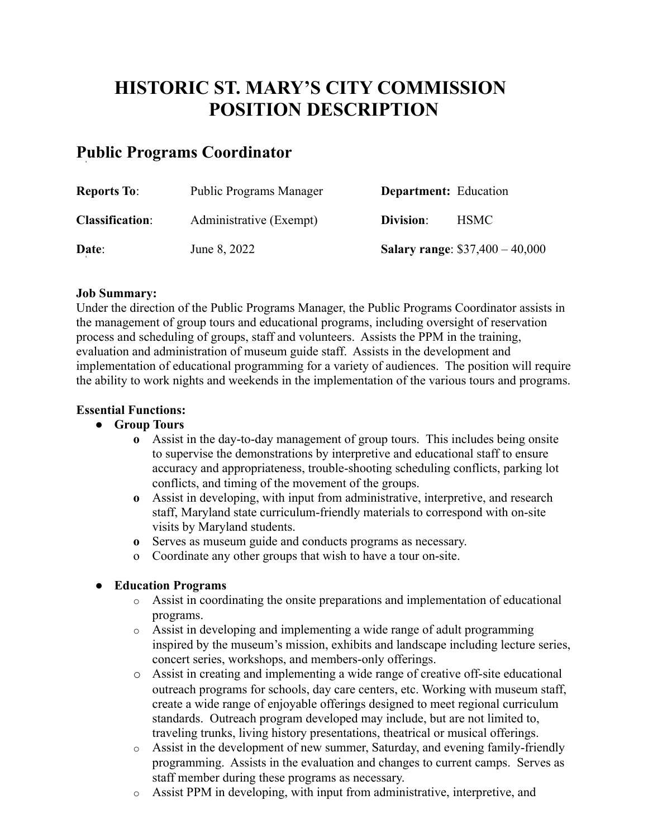# **HISTORIC ST. MARY'S CITY COMMISSION POSITION DESCRIPTION**

# **Public Programs Coordinator**

| <b>Reports To:</b>     | <b>Public Programs Manager</b> | <b>Department:</b> Education |                                        |
|------------------------|--------------------------------|------------------------------|----------------------------------------|
| <b>Classification:</b> | Administrative (Exempt)        | Division:                    | HSMC-                                  |
| Date:                  | June 8, 2022                   |                              | <b>Salary range: \$37,400 - 40,000</b> |

#### **Job Summary:**

Under the direction of the Public Programs Manager, the Public Programs Coordinator assists in the management of group tours and educational programs, including oversight of reservation process and scheduling of groups, staff and volunteers. Assists the PPM in the training, evaluation and administration of museum guide staff. Assists in the development and implementation of educational programming for a variety of audiences. The position will require the ability to work nights and weekends in the implementation of the various tours and programs.

#### **Essential Functions:**

- **● Group Tours**
	- **o** Assist in the day-to-day management of group tours. This includes being onsite to supervise the demonstrations by interpretive and educational staff to ensure accuracy and appropriateness, trouble-shooting scheduling conflicts, parking lot conflicts, and timing of the movement of the groups.
	- **o** Assist in developing, with input from administrative, interpretive, and research staff, Maryland state curriculum-friendly materials to correspond with on-site visits by Maryland students.
	- **o** Serves as museum guide and conducts programs as necessary.
	- o Coordinate any other groups that wish to have a tour on-site.

#### **● Education Programs**

- o Assist in coordinating the onsite preparations and implementation of educational programs.
- o Assist in developing and implementing a wide range of adult programming inspired by the museum's mission, exhibits and landscape including lecture series, concert series, workshops, and members-only offerings.
- o Assist in creating and implementing a wide range of creative off-site educational outreach programs for schools, day care centers, etc. Working with museum staff, create a wide range of enjoyable offerings designed to meet regional curriculum standards. Outreach program developed may include, but are not limited to, traveling trunks, living history presentations, theatrical or musical offerings.
- o Assist in the development of new summer, Saturday, and evening family-friendly programming. Assists in the evaluation and changes to current camps. Serves as staff member during these programs as necessary.
- o Assist PPM in developing, with input from administrative, interpretive, and